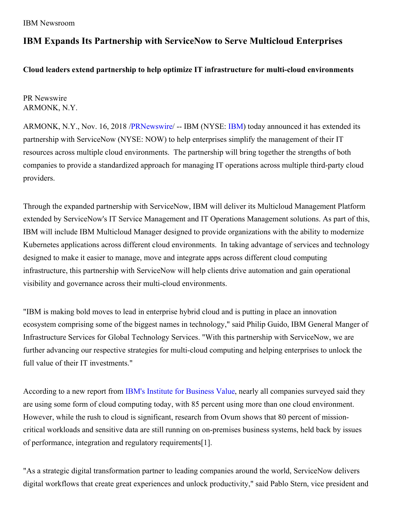## **IBM Expands Its Partnership with ServiceNow to Serve Multicloud Enterprises**

**Cloud leaders extend partnership to help optimize IT infrastructure for multi-cloud environments**

PR Newswire ARMONK, N.Y.

ARMONK, N.Y., Nov. 16, 2018 [/PRNewswire](http://www.prnewswire.com/)/ -- [IBM](http://www.ibm.com/investor) (NYSE: IBM) today announced it has extended its partnership with ServiceNow (NYSE: NOW) to help enterprises simplify the management of their IT resources across multiple cloud environments. The partnership will bring together the strengths of both companies to provide a standardized approach for managing IT operations across multiple third-party cloud providers.

Through the expanded partnership with ServiceNow, IBM will deliver its Multicloud Management Platform extended by ServiceNow's IT Service Management and IT Operations Management solutions. As part of this, IBM will include IBM Multicloud Manager designed to provide organizations with the ability to modernize Kubernetes applications across different cloud environments. In taking advantage of services and technology designed to make it easier to manage, move and integrate apps across different cloud computing infrastructure, this partnership with ServiceNow will help clients drive automation and gain operational visibility and governance across their multi-cloud environments.

"IBM is making bold moves to lead in enterprise hybrid cloud and is putting in place an innovation ecosystem comprising some of the biggest names in technology," said Philip Guido, IBM General Manger of Infrastructure Services for Global Technology Services. "With this partnership with ServiceNow, we are further advancing our respective strategies for multi-cloud computing and helping enterprises to unlock the full value of their IT investments."

According to a new report from IBM's Institute for [Business](https://www-935.ibm.com/services/us/gbs/thoughtleadership/multicloud/) Value, nearly all companies surveyed said they are using some form of cloud computing today, with 85 percent using more than one cloud environment. However, while the rush to cloud is significant, research from Ovum shows that 80 percent of missioncritical workloads and sensitive data are still running on on-premises business systems, held back by issues of performance, integration and regulatory requirements[1].

"As a strategic digital transformation partner to leading companies around the world, ServiceNow delivers digital workflows that create great experiences and unlock productivity," said Pablo Stern, vice president and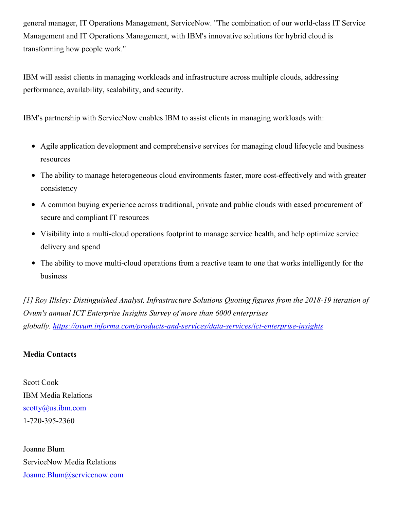general manager, IT Operations Management, ServiceNow. "The combination of our world-class IT Service Management and IT Operations Management, with IBM's innovative solutions for hybrid cloud is transforming how people work."

IBM will assist clients in managing workloads and infrastructure across multiple clouds, addressing performance, availability, scalability, and security.

IBM's partnership with ServiceNow enables IBM to assist clients in managing workloads with:

- Agile application development and comprehensive services for managing cloud lifecycle and business resources
- The ability to manage heterogeneous cloud environments faster, more cost-effectively and with greater consistency
- A common buying experience across traditional, private and public clouds with eased procurement of secure and compliant IT resources
- Visibility into a multi-cloud operations footprint to manage service health, and help optimize service delivery and spend
- The ability to move multi-cloud operations from a reactive team to one that works intelligently for the business

*[1] Roy Illsley: Distinguished Analyst, Infrastructure Solutions Quoting figures from the 2018-19 iteration of Ovum's annual ICT Enterprise Insights Survey of more than 6000 enterprises globally. <https://ovum.informa.com/products-and-services/data-services/ict-enterprise-insights>*

## **Media Contacts**

Scott Cook IBM Media Relations [scotty@us.ibm.com](mailto:scotty@us.ibm.com) 1-720-395-2360

Joanne Blum ServiceNow Media Relations [Joanne.Blum@servicenow.com](mailto:Joanne.Blum@servicenow.com)